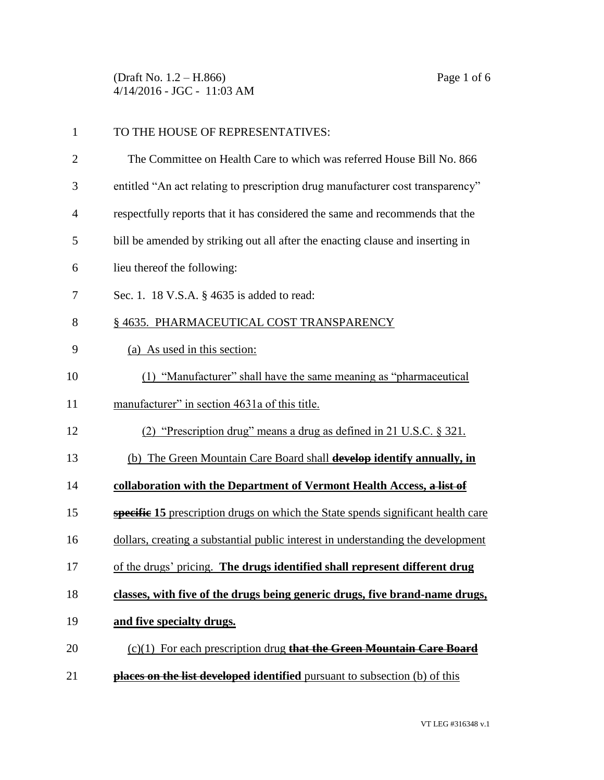(Draft No. 1.2 – H.866) Page 1 of 6 4/14/2016 - JGC - 11:03 AM

| $\mathbf{1}$ | TO THE HOUSE OF REPRESENTATIVES:                                                        |  |
|--------------|-----------------------------------------------------------------------------------------|--|
| 2            | The Committee on Health Care to which was referred House Bill No. 866                   |  |
| 3            | entitled "An act relating to prescription drug manufacturer cost transparency"          |  |
| 4            | respectfully reports that it has considered the same and recommends that the            |  |
| 5            | bill be amended by striking out all after the enacting clause and inserting in          |  |
| 6            | lieu thereof the following:                                                             |  |
| 7            | Sec. 1. 18 V.S.A. § 4635 is added to read:                                              |  |
| 8            | §4635. PHARMACEUTICAL COST TRANSPARENCY                                                 |  |
| 9            | (a) As used in this section:                                                            |  |
| 10           | (1) "Manufacturer" shall have the same meaning as "pharmaceutical                       |  |
| 11           | manufacturer" in section 4631a of this title.                                           |  |
| 12           | (2) "Prescription drug" means a drug as defined in 21 U.S.C. § 321.                     |  |
| 13           | (b) The Green Mountain Care Board shall develop identify annually, in                   |  |
| 14           | collaboration with the Department of Vermont Health Access, a list of                   |  |
| 15           | <b>specific 15</b> prescription drugs on which the State spends significant health care |  |
| 16           | dollars, creating a substantial public interest in understanding the development        |  |
| 17           | of the drugs' pricing. The drugs identified shall represent different drug              |  |
| 18           | classes, with five of the drugs being generic drugs, five brand-name drugs,             |  |
| 19           | and five specialty drugs.                                                               |  |
| 20           | $(c)(1)$ For each prescription drug that the Green Mountain Care Board                  |  |
| 21           | <b>places on the list developed identified</b> pursuant to subsection (b) of this       |  |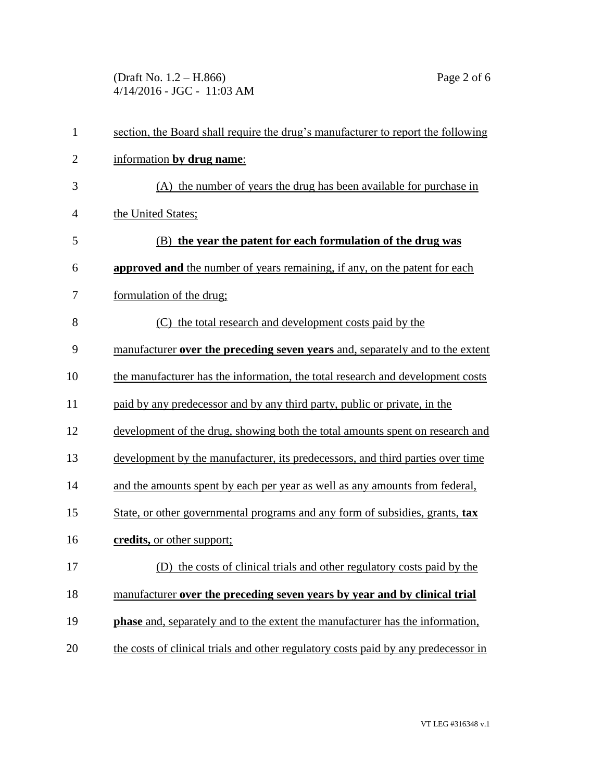(Draft No. 1.2 – H.866) Page 2 of 6 4/14/2016 - JGC - 11:03 AM

| $\mathbf{1}$   | section, the Board shall require the drug's manufacturer to report the following     |  |  |
|----------------|--------------------------------------------------------------------------------------|--|--|
| $\overline{2}$ | information by drug name:                                                            |  |  |
| 3              | (A) the number of years the drug has been available for purchase in                  |  |  |
| $\overline{4}$ | the United States;                                                                   |  |  |
| 5              | (B) the year the patent for each formulation of the drug was                         |  |  |
| 6              | approved and the number of years remaining, if any, on the patent for each           |  |  |
| 7              | formulation of the drug;                                                             |  |  |
| 8              | (C) the total research and development costs paid by the                             |  |  |
| 9              | manufacturer over the preceding seven years and, separately and to the extent        |  |  |
| 10             | the manufacturer has the information, the total research and development costs       |  |  |
| 11             | paid by any predecessor and by any third party, public or private, in the            |  |  |
| 12             | development of the drug, showing both the total amounts spent on research and        |  |  |
| 13             | development by the manufacturer, its predecessors, and third parties over time       |  |  |
| 14             | and the amounts spent by each per year as well as any amounts from federal,          |  |  |
| 15             | State, or other governmental programs and any form of subsidies, grants, tax         |  |  |
| 16             | credits, or other support;                                                           |  |  |
| 17             | (D) the costs of clinical trials and other regulatory costs paid by the              |  |  |
| 18             | manufacturer over the preceding seven years by year and by clinical trial            |  |  |
| 19             | <b>phase</b> and, separately and to the extent the manufacturer has the information, |  |  |
| 20             | the costs of clinical trials and other regulatory costs paid by any predecessor in   |  |  |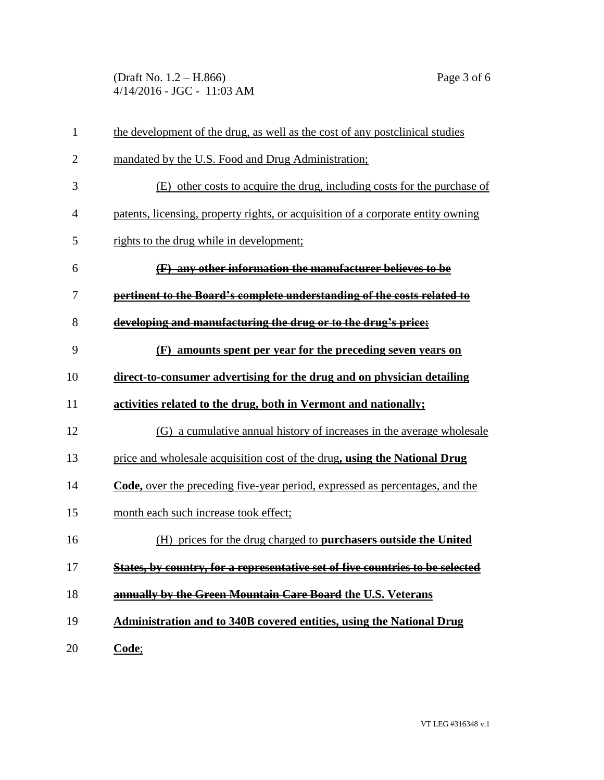(Draft No. 1.2 – H.866) Page 3 of 6 4/14/2016 - JGC - 11:03 AM

| $\mathbf{1}$   | the development of the drug, as well as the cost of any postclinical studies        |  |
|----------------|-------------------------------------------------------------------------------------|--|
| $\overline{2}$ | mandated by the U.S. Food and Drug Administration;                                  |  |
| 3              | (E) other costs to acquire the drug, including costs for the purchase of            |  |
| $\overline{4}$ | patents, licensing, property rights, or acquisition of a corporate entity owning    |  |
| 5              | rights to the drug while in development;                                            |  |
| 6              | (F) any other information the manufacturer believes to be                           |  |
| 7              | pertinent to the Board's complete understanding of the costs related to             |  |
| 8              | developing and manufacturing the drug or to the drug's price;                       |  |
| 9              | amounts spent per year for the preceding seven years on<br>(F)                      |  |
| 10             | direct-to-consumer advertising for the drug and on physician detailing              |  |
| 11             | activities related to the drug, both in Vermont and nationally;                     |  |
| 12             | (G) a cumulative annual history of increases in the average wholesale               |  |
| 13             | price and wholesale acquisition cost of the drug, using the National Drug           |  |
| 14             | <b>Code, over the preceding five-year period, expressed as percentages, and the</b> |  |
| 15             | month each such increase took effect;                                               |  |
| 16             | (H) prices for the drug charged to purchasers outside the United                    |  |
| 17             | States, by country, for a representative set of five countries to be selected       |  |
| 18             | annually by the Green Mountain Care Board the U.S. Veterans                         |  |
| 19             | Administration and to 340B covered entities, using the National Drug                |  |
| 20             | Code;                                                                               |  |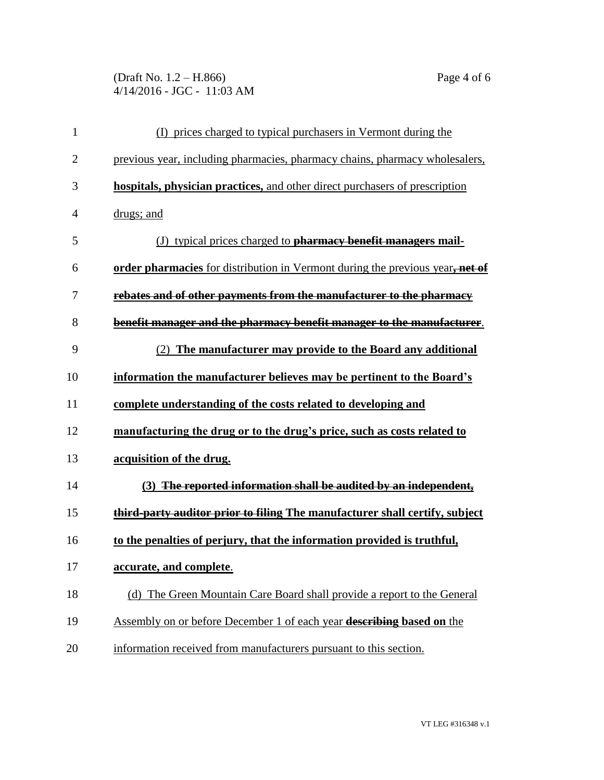(Draft No. 1.2 – H.866) Page 4 of 6 4/14/2016 - JGC - 11:03 AM

| $\mathbf{1}$   | (I) prices charged to typical purchasers in Vermont during the                |  |
|----------------|-------------------------------------------------------------------------------|--|
| $\overline{2}$ | previous year, including pharmacies, pharmacy chains, pharmacy wholesalers,   |  |
| 3              | hospitals, physician practices, and other direct purchasers of prescription   |  |
| 4              | drugs; and                                                                    |  |
| 5              | (J) typical prices charged to <b>pharmacy benefit managers mail-</b>          |  |
| 6              | order pharmacies for distribution in Vermont during the previous year, net of |  |
| 7              | rebates and of other payments from the manufacturer to the pharmacy           |  |
| 8              | benefit manager and the pharmacy benefit manager to the manufacturer.         |  |
| 9              | (2) The manufacturer may provide to the Board any additional                  |  |
| 10             | information the manufacturer believes may be pertinent to the Board's         |  |
| 11             | complete understanding of the costs related to developing and                 |  |
| 12             | manufacturing the drug or to the drug's price, such as costs related to       |  |
| 13             | acquisition of the drug.                                                      |  |
| 14             | (3) The reported information shall be audited by an independent,              |  |
| 15             | third-party auditor prior to filing The manufacturer shall certify, subject   |  |
| 16             | to the penalties of perjury, that the information provided is truthful,       |  |
| 17             | accurate, and complete.                                                       |  |
| 18             | (d) The Green Mountain Care Board shall provide a report to the General       |  |
| 19             | Assembly on or before December 1 of each year describing based on the         |  |
| 20             | information received from manufacturers pursuant to this section.             |  |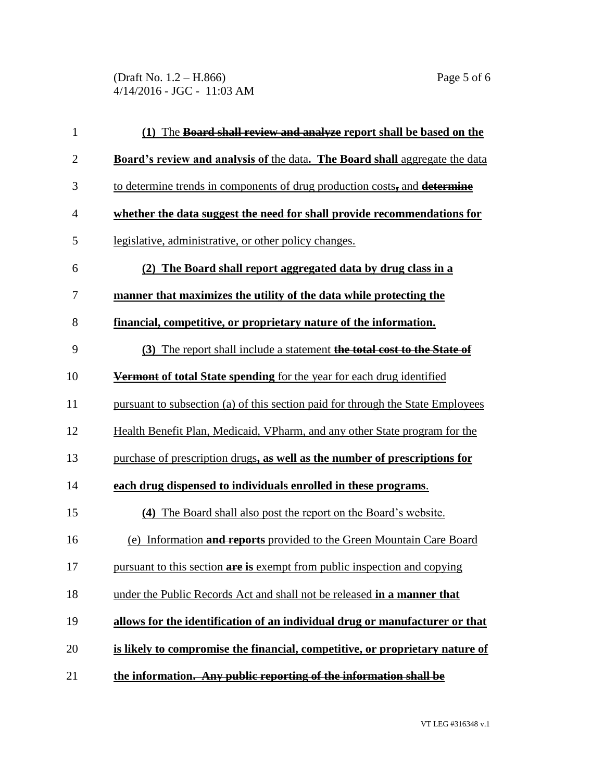(Draft No. 1.2 – H.866) Page 5 of 6 4/14/2016 - JGC - 11:03 AM

| 1              | (1) The <b>Board shall review and analyze report shall be based on the</b>         |  |  |
|----------------|------------------------------------------------------------------------------------|--|--|
| $\mathbf{2}$   | <b>Board's review and analysis of the data. The Board shall aggregate the data</b> |  |  |
| 3              | to determine trends in components of drug production costs, and determine          |  |  |
| $\overline{4}$ | whether the data suggest the need for shall provide recommendations for            |  |  |
| 5              | legislative, administrative, or other policy changes.                              |  |  |
| 6              | (2) The Board shall report aggregated data by drug class in a                      |  |  |
| 7              | manner that maximizes the utility of the data while protecting the                 |  |  |
| 8              | <u>financial, competitive, or proprietary nature of the information.</u>           |  |  |
| 9              | (3) The report shall include a statement the total cost to the State of            |  |  |
| 10             | <b>Vermont of total State spending</b> for the year for each drug identified       |  |  |
| 11             | pursuant to subsection (a) of this section paid for through the State Employees    |  |  |
| 12             | Health Benefit Plan, Medicaid, VPharm, and any other State program for the         |  |  |
| 13             | purchase of prescription drugs, as well as the number of prescriptions for         |  |  |
| 14             | each drug dispensed to individuals enrolled in these programs.                     |  |  |
| 15             | (4) The Board shall also post the report on the Board's website.                   |  |  |
| 16             | (e) Information and reports provided to the Green Mountain Care Board              |  |  |
| 17             | pursuant to this section are is exempt from public inspection and copying          |  |  |
| 18             | under the Public Records Act and shall not be released in a manner that            |  |  |
| 19             | allows for the identification of an individual drug or manufacturer or that        |  |  |
| 20             | is likely to compromise the financial, competitive, or proprietary nature of       |  |  |
| 21             | the information. Any public reporting of the information shall be                  |  |  |